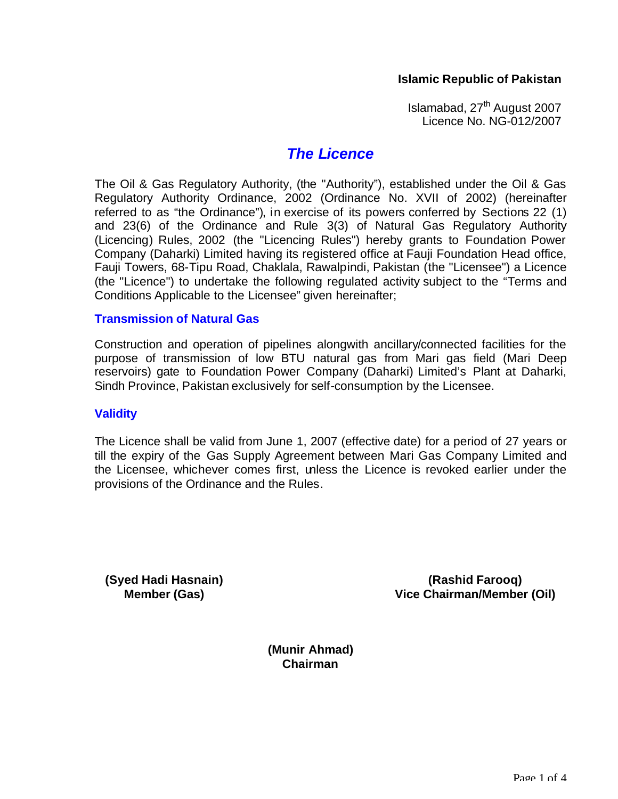## **Islamic Republic of Pakistan**

Islamabad, 27<sup>th</sup> August 2007 Licence No. NG-012/2007

# *The Licence*

The Oil & Gas Regulatory Authority, (the "Authority"), established under the Oil & Gas Regulatory Authority Ordinance, 2002 (Ordinance No. XVII of 2002) (hereinafter referred to as "the Ordinance"), in exercise of its powers conferred by Sections 22 (1) and 23(6) of the Ordinance and Rule 3(3) of Natural Gas Regulatory Authority (Licencing) Rules, 2002 (the "Licencing Rules") hereby grants to Foundation Power Company (Daharki) Limited having its registered office at Fauji Foundation Head office, Fauji Towers, 68-Tipu Road, Chaklala, Rawalpindi, Pakistan (the "Licensee") a Licence (the "Licence") to undertake the following regulated activity subject to the "Terms and Conditions Applicable to the Licensee" given hereinafter;

#### **Transmission of Natural Gas**

Construction and operation of pipelines alongwith ancillary/connected facilities for the purpose of transmission of low BTU natural gas from Mari gas field (Mari Deep reservoirs) gate to Foundation Power Company (Daharki) Limited's Plant at Daharki, Sindh Province, Pakistan exclusively for self-consumption by the Licensee.

#### **Validity**

The Licence shall be valid from June 1, 2007 (effective date) for a period of 27 years or till the expiry of the Gas Supply Agreement between Mari Gas Company Limited and the Licensee, whichever comes first, unless the Licence is revoked earlier under the provisions of the Ordinance and the Rules.

**(Syed Hadi Hasnain) Member (Gas)**

**(Rashid Farooq) Vice Chairman/Member (Oil)**

**(Munir Ahmad) Chairman**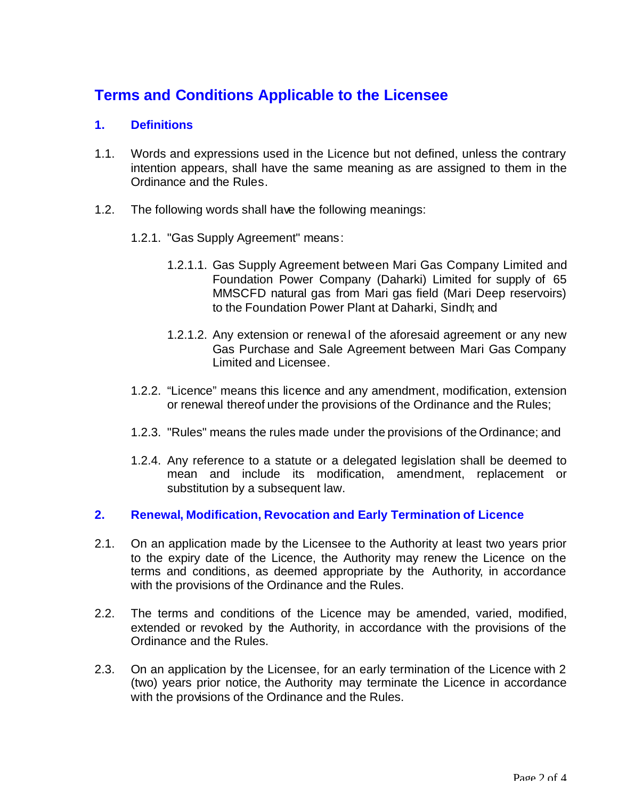# **Terms and Conditions Applicable to the Licensee**

# **1. Definitions**

- 1.1. Words and expressions used in the Licence but not defined, unless the contrary intention appears, shall have the same meaning as are assigned to them in the Ordinance and the Rules.
- 1.2. The following words shall have the following meanings:
	- 1.2.1. "Gas Supply Agreement" means:
		- 1.2.1.1. Gas Supply Agreement between Mari Gas Company Limited and Foundation Power Company (Daharki) Limited for supply of 65 MMSCFD natural gas from Mari gas field (Mari Deep reservoirs) to the Foundation Power Plant at Daharki, Sindh; and
		- 1.2.1.2. Any extension or renewal of the aforesaid agreement or any new Gas Purchase and Sale Agreement between Mari Gas Company Limited and Licensee.
	- 1.2.2. "Licence" means this licence and any amendment, modification, extension or renewal thereof under the provisions of the Ordinance and the Rules;
	- 1.2.3. "Rules" means the rules made under the provisions of the Ordinance; and
	- 1.2.4. Any reference to a statute or a delegated legislation shall be deemed to mean and include its modification, amendment, replacement or substitution by a subsequent law.

#### **2. Renewal, Modification, Revocation and Early Termination of Licence**

- 2.1. On an application made by the Licensee to the Authority at least two years prior to the expiry date of the Licence, the Authority may renew the Licence on the terms and conditions, as deemed appropriate by the Authority, in accordance with the provisions of the Ordinance and the Rules.
- 2.2. The terms and conditions of the Licence may be amended, varied, modified, extended or revoked by the Authority, in accordance with the provisions of the Ordinance and the Rules.
- 2.3. On an application by the Licensee, for an early termination of the Licence with 2 (two) years prior notice, the Authority may terminate the Licence in accordance with the provisions of the Ordinance and the Rules.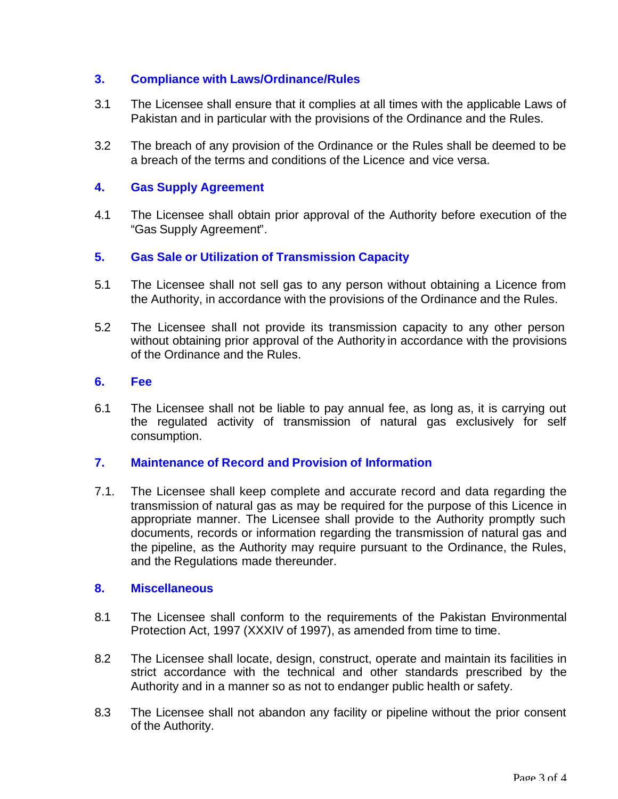# **3. Compliance with Laws/Ordinance/Rules**

- 3.1 The Licensee shall ensure that it complies at all times with the applicable Laws of Pakistan and in particular with the provisions of the Ordinance and the Rules.
- 3.2 The breach of any provision of the Ordinance or the Rules shall be deemed to be a breach of the terms and conditions of the Licence and vice versa.

# **4. Gas Supply Agreement**

4.1 The Licensee shall obtain prior approval of the Authority before execution of the "Gas Supply Agreement".

#### **5. Gas Sale or Utilization of Transmission Capacity**

- 5.1 The Licensee shall not sell gas to any person without obtaining a Licence from the Authority, in accordance with the provisions of the Ordinance and the Rules.
- 5.2 The Licensee shall not provide its transmission capacity to any other person without obtaining prior approval of the Authority in accordance with the provisions of the Ordinance and the Rules.

#### **6. Fee**

6.1 The Licensee shall not be liable to pay annual fee, as long as, it is carrying out the regulated activity of transmission of natural gas exclusively for self consumption.

#### **7. Maintenance of Record and Provision of Information**

7.1. The Licensee shall keep complete and accurate record and data regarding the transmission of natural gas as may be required for the purpose of this Licence in appropriate manner. The Licensee shall provide to the Authority promptly such documents, records or information regarding the transmission of natural gas and the pipeline, as the Authority may require pursuant to the Ordinance, the Rules, and the Regulations made thereunder.

#### **8. Miscellaneous**

- 8.1 The Licensee shall conform to the requirements of the Pakistan Environmental Protection Act, 1997 (XXXIV of 1997), as amended from time to time.
- 8.2 The Licensee shall locate, design, construct, operate and maintain its facilities in strict accordance with the technical and other standards prescribed by the Authority and in a manner so as not to endanger public health or safety.
- 8.3 The Licensee shall not abandon any facility or pipeline without the prior consent of the Authority.